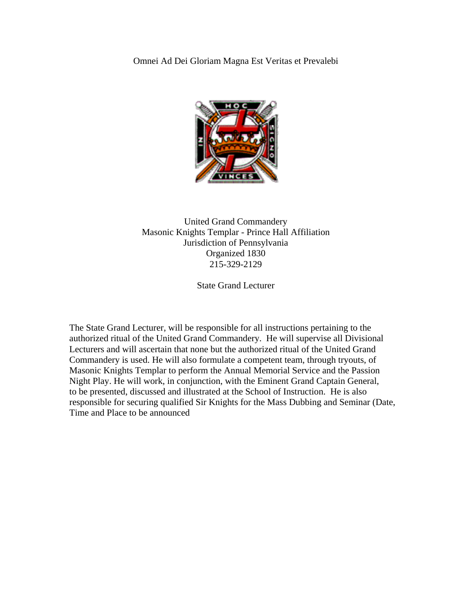Omnei Ad Dei Gloriam Magna Est Veritas et Prevalebi



United Grand Commandery Masonic Knights Templar - Prince Hall Affiliation Jurisdiction of Pennsylvania Organized 1830 215-329-2129

State Grand Lecturer

The State Grand Lecturer, will be responsible for all instructions pertaining to the authorized ritual of the United Grand Commandery. He will supervise all Divisional Lecturers and will ascertain that none but the authorized ritual of the United Grand Commandery is used. He will also formulate a competent team, through tryouts, of Masonic Knights Templar to perform the Annual Memorial Service and the Passion Night Play. He will work, in conjunction, with the Eminent Grand Captain General, to be presented, discussed and illustrated at the School of Instruction. He is also responsible for securing qualified Sir Knights for the Mass Dubbing and Seminar (Date, Time and Place to be announced